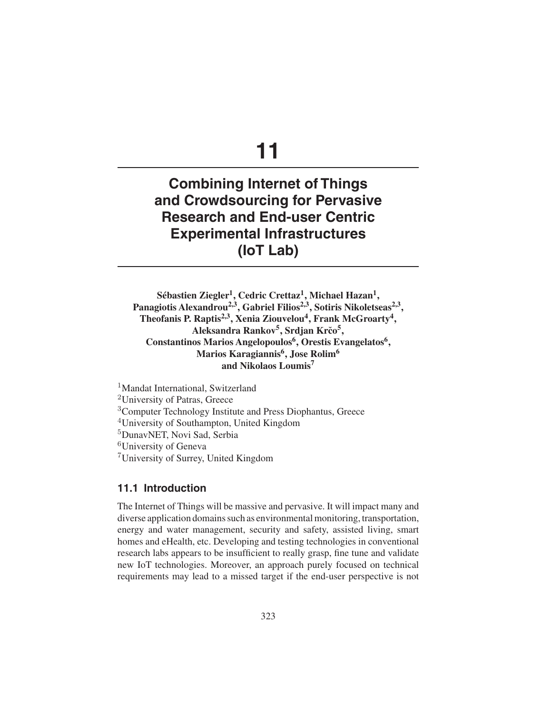# **11**

# **Combining Internet of Things and Crowdsourcing for Pervasive Research and End-user Centric Experimental Infrastructures (IoT Lab)**

Sébastien Ziegler<sup>1</sup>, Cedric Crettaz<sup>1</sup>, Michael Hazan<sup>1</sup>, Panagiotis Alexandrou<sup>2,3</sup>, Gabriel Filios<sup>2,3</sup>, Sotiris Nikoletseas<sup>2,3</sup>, **Theofanis P. Raptis2,3, Xenia Ziouvelou4, Frank McGroarty4, Aleksandra Rankov5, Srdjan Krˇco5, Constantinos Marios Angelopoulos6, Orestis Evangelatos6, Marios Karagiannis6, Jose Rolim6 and Nikolaos Loumis<sup>7</sup>**

<sup>1</sup>Mandat International, Switzerland University of Patras, Greece Computer Technology Institute and Press Diophantus, Greece University of Southampton, United Kingdom DunavNET, Novi Sad, Serbia University of Geneva University of Surrey, United Kingdom

# **11.1 Introduction**

The Internet of Things will be massive and pervasive. It will impact many and diverse application domains such as environmental monitoring, transportation, energy and water management, security and safety, assisted living, smart homes and eHealth, etc. Developing and testing technologies in conventional research labs appears to be insufficient to really grasp, fine tune and validate new IoT technologies. Moreover, an approach purely focused on technical requirements may lead to a missed target if the end-user perspective is not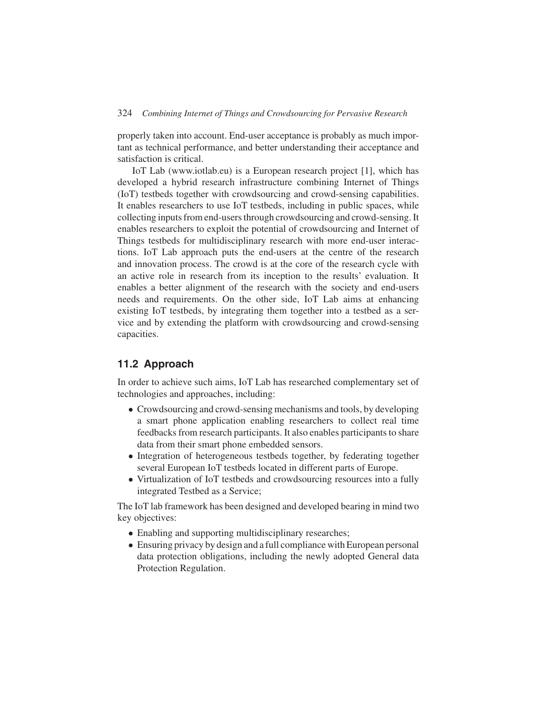properly taken into account. End-user acceptance is probably as much important as technical performance, and better understanding their acceptance and satisfaction is critical.

IoT Lab (www.iotlab.eu) is a European research project [1], which has developed a hybrid research infrastructure combining Internet of Things (IoT) testbeds together with crowdsourcing and crowd-sensing capabilities. It enables researchers to use IoT testbeds, including in public spaces, while collecting inputs from end-users through crowdsourcing and crowd-sensing. It enables researchers to exploit the potential of crowdsourcing and Internet of Things testbeds for multidisciplinary research with more end-user interactions. IoT Lab approach puts the end-users at the centre of the research and innovation process. The crowd is at the core of the research cycle with an active role in research from its inception to the results' evaluation. It enables a better alignment of the research with the society and end-users needs and requirements. On the other side, IoT Lab aims at enhancing existing IoT testbeds, by integrating them together into a testbed as a service and by extending the platform with crowdsourcing and crowd-sensing capacities.

# **11.2 Approach**

In order to achieve such aims, IoT Lab has researched complementary set of technologies and approaches, including:

- Crowdsourcing and crowd-sensing mechanisms and tools, by developing a smart phone application enabling researchers to collect real time feedbacks from research participants. It also enables participants to share data from their smart phone embedded sensors.
- Integration of heterogeneous testbeds together, by federating together several European IoT testbeds located in different parts of Europe.
- Virtualization of IoT testbeds and crowdsourcing resources into a fully integrated Testbed as a Service;

The IoT lab framework has been designed and developed bearing in mind two key objectives:

- Enabling and supporting multidisciplinary researches;
- Ensuring privacy by design and a full compliance with European personal data protection obligations, including the newly adopted General data Protection Regulation.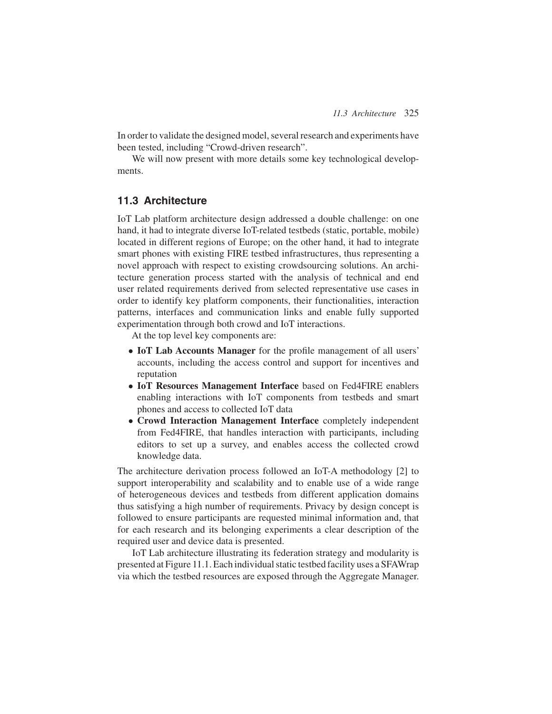In order to validate the designed model, several research and experiments have been tested, including "Crowd-driven research".

We will now present with more details some key technological developments.

# **11.3 Architecture**

IoT Lab platform architecture design addressed a double challenge: on one hand, it had to integrate diverse IoT-related testbeds (static, portable, mobile) located in different regions of Europe; on the other hand, it had to integrate smart phones with existing FIRE testbed infrastructures, thus representing a novel approach with respect to existing crowdsourcing solutions. An architecture generation process started with the analysis of technical and end user related requirements derived from selected representative use cases in order to identify key platform components, their functionalities, interaction patterns, interfaces and communication links and enable fully supported experimentation through both crowd and IoT interactions.

At the top level key components are:

- **IoT Lab Accounts Manager** for the profile management of all users' accounts, including the access control and support for incentives and reputation
- **IoT Resources Management Interface** based on Fed4FIRE enablers enabling interactions with IoT components from testbeds and smart phones and access to collected IoT data
- **Crowd Interaction Management Interface** completely independent from Fed4FIRE, that handles interaction with participants, including editors to set up a survey, and enables access the collected crowd knowledge data.

The architecture derivation process followed an IoT-A methodology [2] to support interoperability and scalability and to enable use of a wide range of heterogeneous devices and testbeds from different application domains thus satisfying a high number of requirements. Privacy by design concept is followed to ensure participants are requested minimal information and, that for each research and its belonging experiments a clear description of the required user and device data is presented.

IoT Lab architecture illustrating its federation strategy and modularity is presented at Figure 11.1. Each individual static testbed facility uses a SFAWrap via which the testbed resources are exposed through the Aggregate Manager.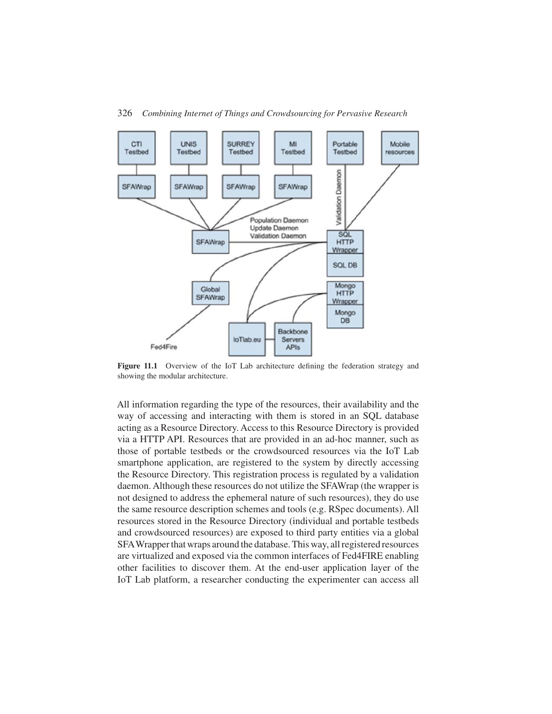

326 *Combining Internet of Things and Crowdsourcing for Pervasive Research*

Figure 11.1 Overview of the IoT Lab architecture defining the federation strategy and showing the modular architecture.

All information regarding the type of the resources, their availability and the way of accessing and interacting with them is stored in an SQL database acting as a Resource Directory. Access to this Resource Directory is provided via a HTTP API. Resources that are provided in an ad-hoc manner, such as those of portable testbeds or the crowdsourced resources via the IoT Lab smartphone application, are registered to the system by directly accessing the Resource Directory. This registration process is regulated by a validation daemon. Although these resources do not utilize the SFAWrap (the wrapper is not designed to address the ephemeral nature of such resources), they do use the same resource description schemes and tools (e.g. RSpec documents). All resources stored in the Resource Directory (individual and portable testbeds and crowdsourced resources) are exposed to third party entities via a global SFAWrapper that wraps around the database. This way, all registered resources are virtualized and exposed via the common interfaces of Fed4FIRE enabling other facilities to discover them. At the end-user application layer of the IoT Lab platform, a researcher conducting the experimenter can access all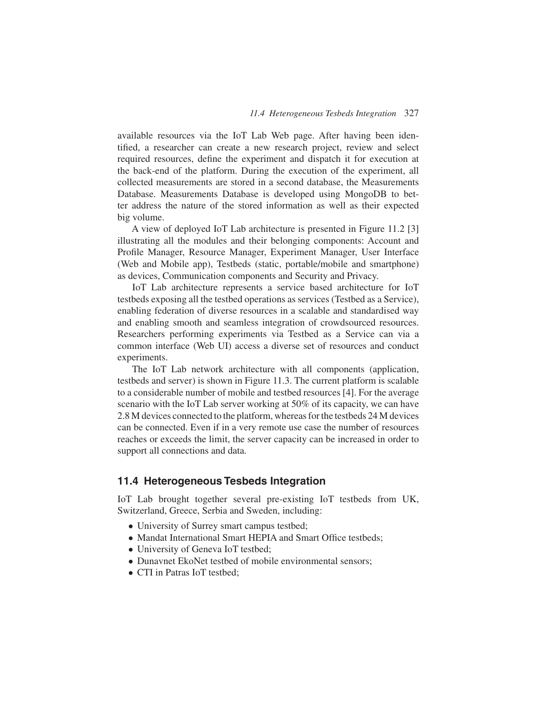available resources via the IoT Lab Web page. After having been identified, a researcher can create a new research project, review and select required resources, define the experiment and dispatch it for execution at the back-end of the platform. During the execution of the experiment, all collected measurements are stored in a second database, the Measurements Database. Measurements Database is developed using MongoDB to better address the nature of the stored information as well as their expected big volume.

A view of deployed IoT Lab architecture is presented in Figure 11.2 [3] illustrating all the modules and their belonging components: Account and Profile Manager, Resource Manager, Experiment Manager, User Interface (Web and Mobile app), Testbeds (static, portable/mobile and smartphone) as devices, Communication components and Security and Privacy.

IoT Lab architecture represents a service based architecture for IoT testbeds exposing all the testbed operations as services (Testbed as a Service), enabling federation of diverse resources in a scalable and standardised way and enabling smooth and seamless integration of crowdsourced resources. Researchers performing experiments via Testbed as a Service can via a common interface (Web UI) access a diverse set of resources and conduct experiments.

The IoT Lab network architecture with all components (application, testbeds and server) is shown in Figure 11.3. The current platform is scalable to a considerable number of mobile and testbed resources [4]. For the average scenario with the IoT Lab server working at 50% of its capacity, we can have 2.8 M devices connected to the platform, whereas for the testbeds 24 M devices can be connected. Even if in a very remote use case the number of resources reaches or exceeds the limit, the server capacity can be increased in order to support all connections and data.

# **11.4 Heterogeneous Tesbeds Integration**

IoT Lab brought together several pre-existing IoT testbeds from UK, Switzerland, Greece, Serbia and Sweden, including:

- University of Surrey smart campus testbed;
- Mandat International Smart HEPIA and Smart Office testbeds;
- University of Geneva IoT testbed;
- Dunavnet EkoNet testbed of mobile environmental sensors;
- CTI in Patras IoT testbed;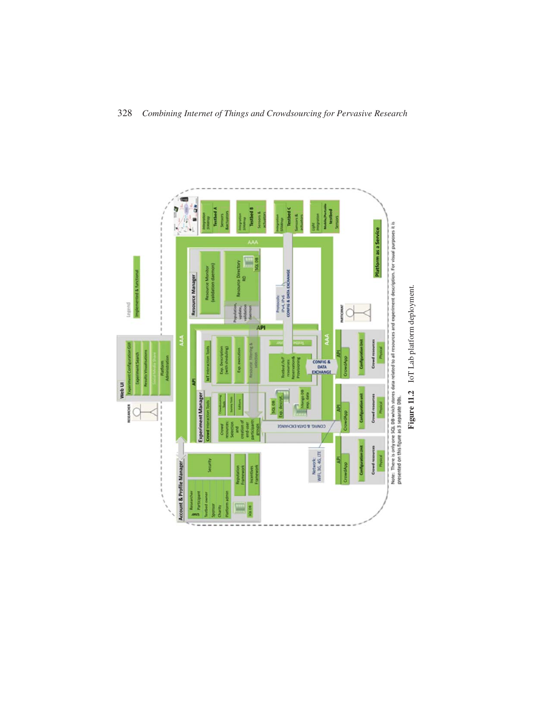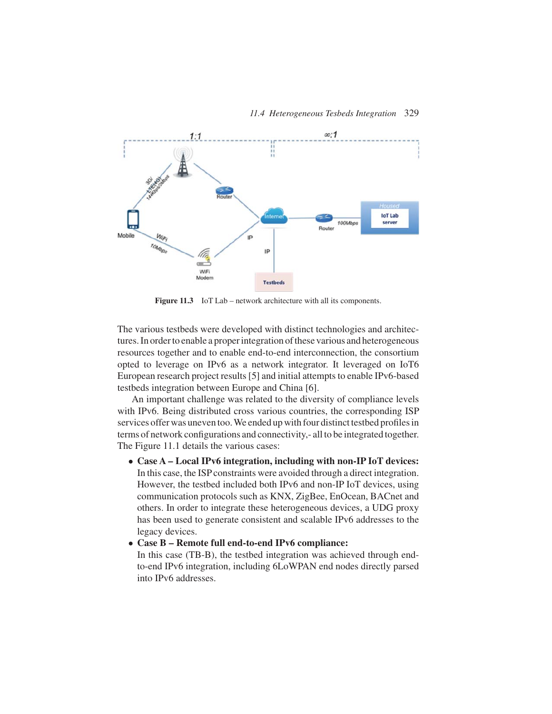

**Figure 11.3** IoT Lab – network architecture with all its components.

The various testbeds were developed with distinct technologies and architectures. In order to enable a proper integration of these various and heterogeneous resources together and to enable end-to-end interconnection, the consortium opted to leverage on IPv6 as a network integrator. It leveraged on IoT6 European research project results [5] and initial attempts to enable IPv6-based testbeds integration between Europe and China [6].

An important challenge was related to the diversity of compliance levels with IPv6. Being distributed cross various countries, the corresponding ISP services offer was uneven too.We ended up with four distinct testbed profiles in terms of network configurations and connectivity,- all to be integrated together. The Figure 11.1 details the various cases:

- **Case A Local IPv6 integration, including with non-IP IoT devices:** In this case, the ISP constraints were avoided through a direct integration. However, the testbed included both IPv6 and non-IP IoT devices, using communication protocols such as KNX, ZigBee, EnOcean, BACnet and others. In order to integrate these heterogeneous devices, a UDG proxy has been used to generate consistent and scalable IPv6 addresses to the legacy devices.
- **Case B Remote full end-to-end IPv6 compliance:**

In this case (TB-B), the testbed integration was achieved through endto-end IPv6 integration, including 6LoWPAN end nodes directly parsed into IPv6 addresses.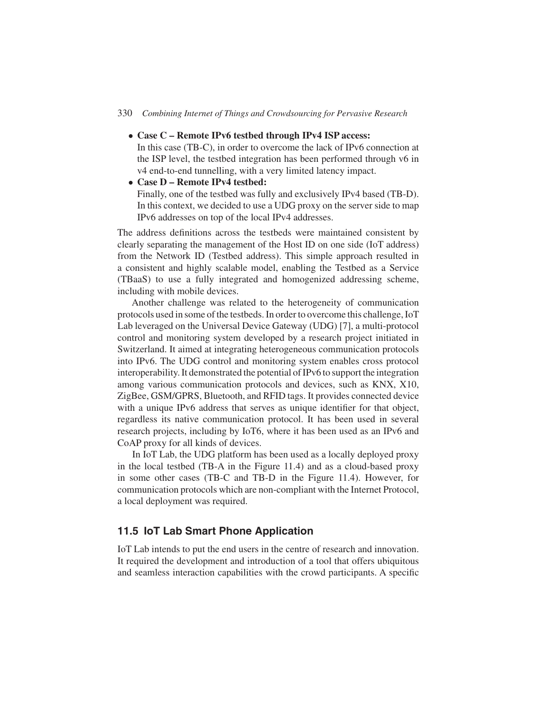• **Case C – Remote IPv6 testbed through IPv4 ISP access:**

In this case (TB-C), in order to overcome the lack of IPv6 connection at the ISP level, the testbed integration has been performed through v6 in v4 end-to-end tunnelling, with a very limited latency impact.

• **Case D – Remote IPv4 testbed:**

Finally, one of the testbed was fully and exclusively IPv4 based (TB-D). In this context, we decided to use a UDG proxy on the server side to map IPv6 addresses on top of the local IPv4 addresses.

The address definitions across the testbeds were maintained consistent by clearly separating the management of the Host ID on one side (IoT address) from the Network ID (Testbed address). This simple approach resulted in a consistent and highly scalable model, enabling the Testbed as a Service (TBaaS) to use a fully integrated and homogenized addressing scheme, including with mobile devices.

Another challenge was related to the heterogeneity of communication protocols used in some of the testbeds. In order to overcome this challenge, IoT Lab leveraged on the Universal Device Gateway (UDG) [7], a multi-protocol control and monitoring system developed by a research project initiated in Switzerland. It aimed at integrating heterogeneous communication protocols into IPv6. The UDG control and monitoring system enables cross protocol interoperability. It demonstrated the potential of IPv6 to support the integration among various communication protocols and devices, such as KNX, X10, ZigBee, GSM/GPRS, Bluetooth, and RFID tags. It provides connected device with a unique IPv6 address that serves as unique identifier for that object, regardless its native communication protocol. It has been used in several research projects, including by IoT6, where it has been used as an IPv6 and CoAP proxy for all kinds of devices.

In IoT Lab, the UDG platform has been used as a locally deployed proxy in the local testbed (TB-A in the Figure 11.4) and as a cloud-based proxy in some other cases (TB-C and TB-D in the Figure 11.4). However, for communication protocols which are non-compliant with the Internet Protocol, a local deployment was required.

# **11.5 IoT Lab Smart Phone Application**

IoT Lab intends to put the end users in the centre of research and innovation. It required the development and introduction of a tool that offers ubiquitous and seamless interaction capabilities with the crowd participants. A specific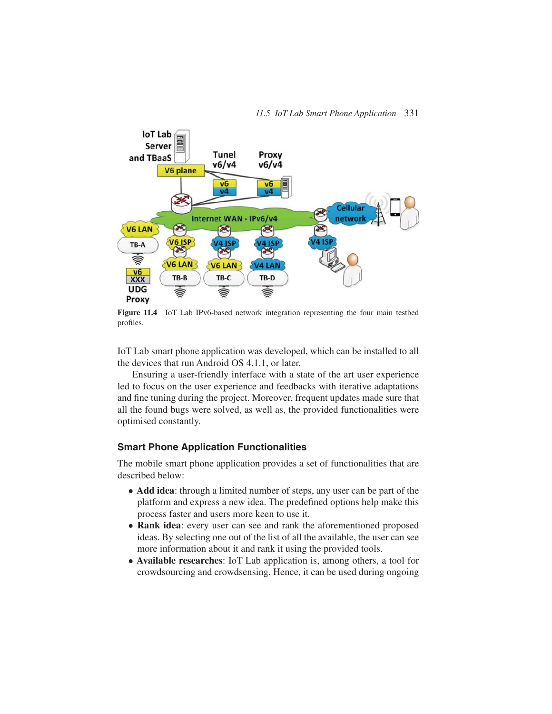

**Figure 11.4** IoT Lab IPv6-based network integration representing the four main testbed profiles.

IoT Lab smart phone application was developed, which can be installed to all the devices that run Android OS 4.1.1, or later.

Ensuring a user-friendly interface with a state of the art user experience led to focus on the user experience and feedbacks with iterative adaptations and fine tuning during the project. Moreover, frequent updates made sure that all the found bugs were solved, as well as, the provided functionalities were optimised constantly.

# **Smart Phone Application Functionalities**

The mobile smart phone application provides a set of functionalities that are described below:

- **Add idea**: through a limited number of steps, any user can be part of the platform and express a new idea. The predefined options help make this process faster and users more keen to use it.
- **Rank idea**: every user can see and rank the aforementioned proposed ideas. By selecting one out of the list of all the available, the user can see more information about it and rank it using the provided tools.
- **Available researches**: IoT Lab application is, among others, a tool for crowdsourcing and crowdsensing. Hence, it can be used during ongoing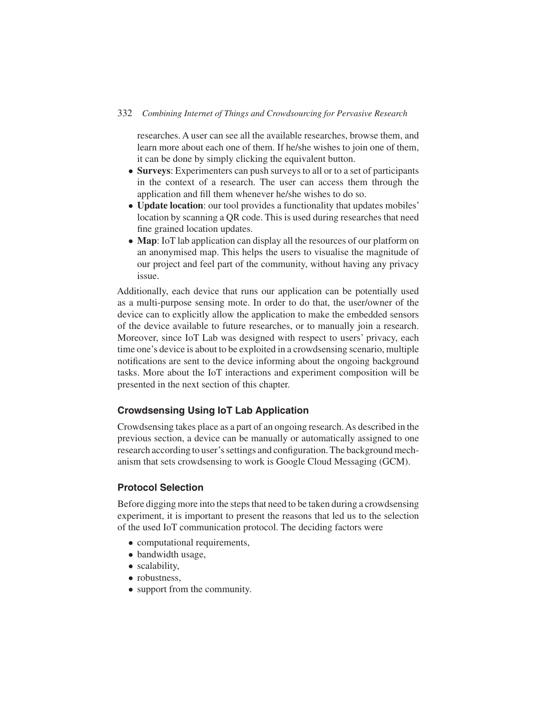researches. A user can see all the available researches, browse them, and learn more about each one of them. If he/she wishes to join one of them, it can be done by simply clicking the equivalent button.

- **Surveys**: Experimenters can push surveys to all or to a set of participants in the context of a research. The user can access them through the application and fill them whenever he/she wishes to do so.
- **Update location**: our tool provides a functionality that updates mobiles' location by scanning a QR code. This is used during researches that need fine grained location updates.
- **Map**: IoT lab application can display all the resources of our platform on an anonymised map. This helps the users to visualise the magnitude of our project and feel part of the community, without having any privacy issue.

Additionally, each device that runs our application can be potentially used as a multi-purpose sensing mote. In order to do that, the user/owner of the device can to explicitly allow the application to make the embedded sensors of the device available to future researches, or to manually join a research. Moreover, since IoT Lab was designed with respect to users' privacy, each time one's device is about to be exploited in a crowdsensing scenario, multiple notifications are sent to the device informing about the ongoing background tasks. More about the IoT interactions and experiment composition will be presented in the next section of this chapter.

# **Crowdsensing Using IoT Lab Application**

Crowdsensing takes place as a part of an ongoing research. As described in the previous section, a device can be manually or automatically assigned to one research according to user's settings and configuration. The background mechanism that sets crowdsensing to work is Google Cloud Messaging (GCM).

# **Protocol Selection**

Before digging more into the steps that need to be taken during a crowdsensing experiment, it is important to present the reasons that led us to the selection of the used IoT communication protocol. The deciding factors were

- computational requirements,
- bandwidth usage,
- scalability,
- robustness.
- support from the community.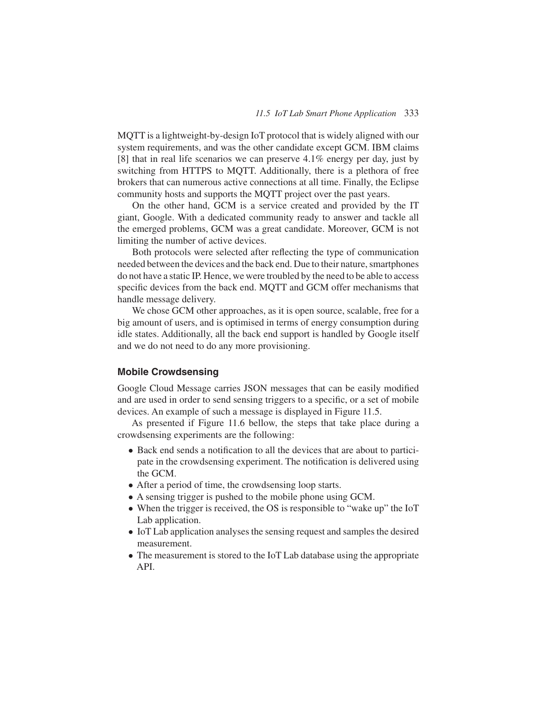MQTT is a lightweight-by-design IoT protocol that is widely aligned with our system requirements, and was the other candidate except GCM. IBM claims [8] that in real life scenarios we can preserve 4.1% energy per day, just by switching from HTTPS to MQTT. Additionally, there is a plethora of free brokers that can numerous active connections at all time. Finally, the Eclipse community hosts and supports the MQTT project over the past years.

On the other hand, GCM is a service created and provided by the IT giant, Google. With a dedicated community ready to answer and tackle all the emerged problems, GCM was a great candidate. Moreover, GCM is not limiting the number of active devices.

Both protocols were selected after reflecting the type of communication needed between the devices and the back end. Due to their nature, smartphones do not have a static IP. Hence, we were troubled by the need to be able to access specific devices from the back end. MQTT and GCM offer mechanisms that handle message delivery.

We chose GCM other approaches, as it is open source, scalable, free for a big amount of users, and is optimised in terms of energy consumption during idle states. Additionally, all the back end support is handled by Google itself and we do not need to do any more provisioning.

#### **Mobile Crowdsensing**

Google Cloud Message carries JSON messages that can be easily modified and are used in order to send sensing triggers to a specific, or a set of mobile devices. An example of such a message is displayed in Figure 11.5.

As presented if Figure 11.6 bellow, the steps that take place during a crowdsensing experiments are the following:

- Back end sends a notification to all the devices that are about to participate in the crowdsensing experiment. The notification is delivered using the GCM.
- After a period of time, the crowdsensing loop starts.
- A sensing trigger is pushed to the mobile phone using GCM.
- When the trigger is received, the OS is responsible to "wake up" the IoT Lab application.
- IoT Lab application analyses the sensing request and samples the desired measurement.
- The measurement is stored to the IoT Lab database using the appropriate API.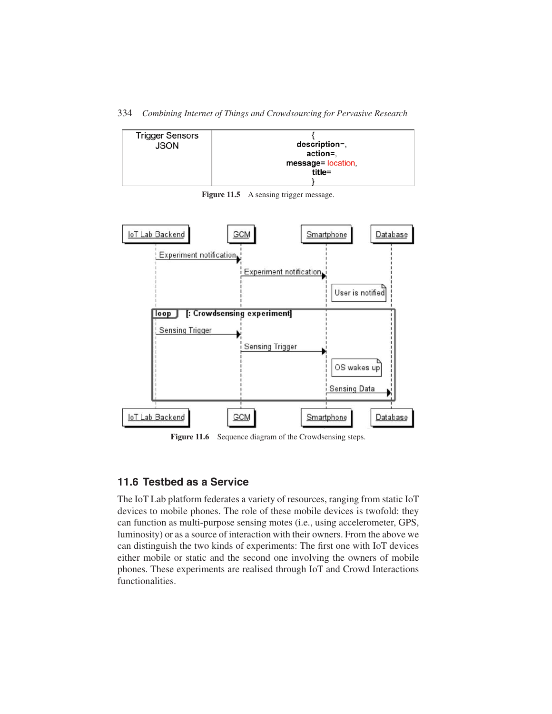

Figure 11.5 A sensing trigger message.



Figure 11.6 Sequence diagram of the Crowdsensing steps.

# **11.6 Testbed as a Service**

The IoT Lab platform federates a variety of resources, ranging from static IoT devices to mobile phones. The role of these mobile devices is twofold: they can function as multi-purpose sensing motes (i.e., using accelerometer, GPS, luminosity) or as a source of interaction with their owners. From the above we can distinguish the two kinds of experiments: The first one with IoT devices either mobile or static and the second one involving the owners of mobile phones. These experiments are realised through IoT and Crowd Interactions functionalities.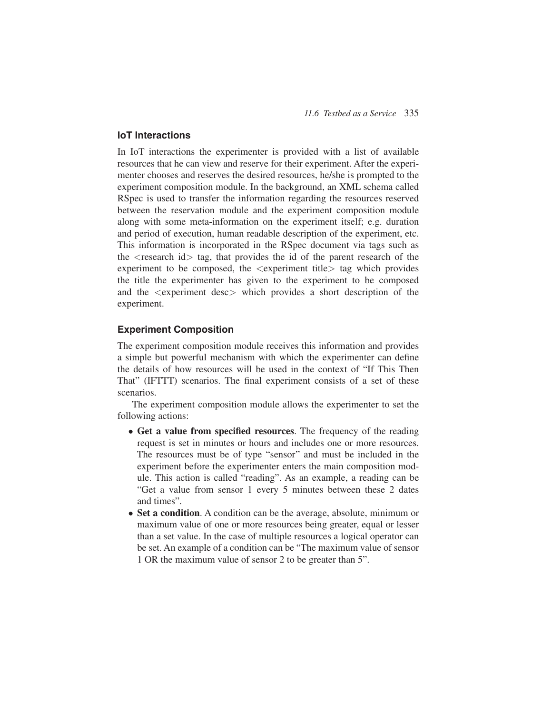#### **IoT Interactions**

In IoT interactions the experimenter is provided with a list of available resources that he can view and reserve for their experiment. After the experimenter chooses and reserves the desired resources, he/she is prompted to the experiment composition module. In the background, an XML schema called RSpec is used to transfer the information regarding the resources reserved between the reservation module and the experiment composition module along with some meta-information on the experiment itself; e.g. duration and period of execution, human readable description of the experiment, etc. This information is incorporated in the RSpec document via tags such as the  $\leq$  research id  $\geq$  tag, that provides the id of the parent research of the experiment to be composed, the  $\leq$  experiment title $\geq$  tag which provides the title the experimenter has given to the experiment to be composed and the <experiment desc> which provides a short description of the experiment.

#### **Experiment Composition**

The experiment composition module receives this information and provides a simple but powerful mechanism with which the experimenter can define the details of how resources will be used in the context of "If This Then That" (IFTTT) scenarios. The final experiment consists of a set of these scenarios.

The experiment composition module allows the experimenter to set the following actions:

- **Get a value from specified resources**. The frequency of the reading request is set in minutes or hours and includes one or more resources. The resources must be of type "sensor" and must be included in the experiment before the experimenter enters the main composition module. This action is called "reading". As an example, a reading can be "Get a value from sensor 1 every 5 minutes between these 2 dates and times".
- **Set a condition**. A condition can be the average, absolute, minimum or maximum value of one or more resources being greater, equal or lesser than a set value. In the case of multiple resources a logical operator can be set. An example of a condition can be "The maximum value of sensor 1 OR the maximum value of sensor 2 to be greater than 5".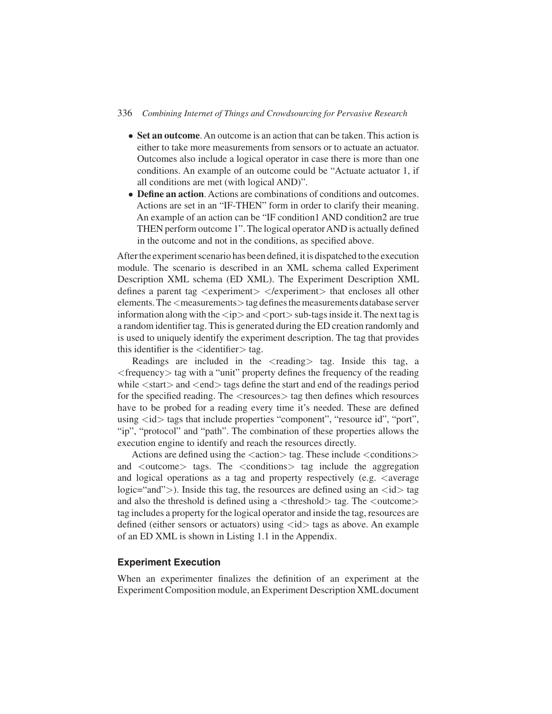- **Set an outcome**. An outcome is an action that can be taken. This action is either to take more measurements from sensors or to actuate an actuator. Outcomes also include a logical operator in case there is more than one conditions. An example of an outcome could be "Actuate actuator 1, if all conditions are met (with logical AND)".
- **Define an action**. Actions are combinations of conditions and outcomes. Actions are set in an "IF-THEN" form in order to clarify their meaning. An example of an action can be "IF condition1 AND condition2 are true THEN perform outcome 1". The logical operatorAND is actually defined in the outcome and not in the conditions, as specified above.

After the experiment scenario has been defined, it is dispatched to the execution module. The scenario is described in an XML schema called Experiment Description XML schema (ED XML). The Experiment Description XML defines a parent tag  $\langle$  experiment $\rangle$   $\langle$  / experiment $\rangle$  that encloses all other elements. The <measurements > tag defines the measurements database server information along with the  $\langle ip \rangle$  and  $\langle port \rangle$  sub-tags inside it. The next tag is a random identifier tag. This is generated during the ED creation randomly and is used to uniquely identify the experiment description. The tag that provides this identifier is the  $\langle$  identifier $\rangle$  tag.

Readings are included in the  $\langle$ reading $\rangle$  tag. Inside this tag, a  $\langle$  frequency $>$  tag with a "unit" property defines the frequency of the reading while  $\lt$ start $>$  and  $\lt$ end $>$  tags define the start and end of the readings period for the specified reading. The <resources> tag then defines which resources have to be probed for a reading every time it's needed. These are defined using  $\langle id \rangle$  tags that include properties "component", "resource id", "port", "ip", "protocol" and "path". The combination of these properties allows the execution engine to identify and reach the resources directly.

Actions are defined using the  $\langle\text{action}\rangle$  tag. These include  $\langle\text{conditions}\rangle$ and <outcome> tags. The <conditions> tag include the aggregation and logical operations as a tag and property respectively (e.g.  $\langle$  average logic="and">). Inside this tag, the resources are defined using an  $\langle id \rangle$  tag and also the threshold is defined using a  $\langle$ threshold $\rangle$  tag. The  $\langle$ outcome $\rangle$ tag includes a property for the logical operator and inside the tag, resources are defined (either sensors or actuators) using  $\langle id \rangle$  tags as above. An example of an ED XML is shown in Listing 1.1 in the Appendix.

#### **Experiment Execution**

When an experimenter finalizes the definition of an experiment at the Experiment Composition module, an Experiment Description XML document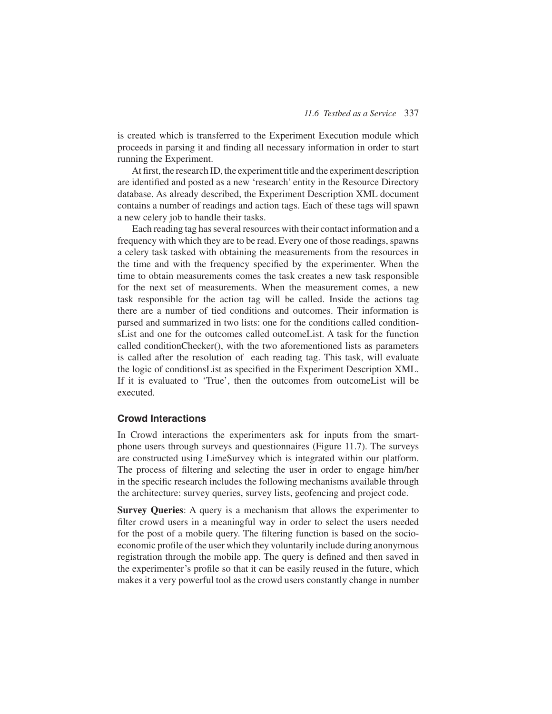is created which is transferred to the Experiment Execution module which proceeds in parsing it and finding all necessary information in order to start running the Experiment.

At first, the research ID, the experiment title and the experiment description are identified and posted as a new 'research' entity in the Resource Directory database. As already described, the Experiment Description XML document contains a number of readings and action tags. Each of these tags will spawn a new celery job to handle their tasks.

Each reading tag has several resources with their contact information and a frequency with which they are to be read. Every one of those readings, spawns a celery task tasked with obtaining the measurements from the resources in the time and with the frequency specified by the experimenter. When the time to obtain measurements comes the task creates a new task responsible for the next set of measurements. When the measurement comes, a new task responsible for the action tag will be called. Inside the actions tag there are a number of tied conditions and outcomes. Their information is parsed and summarized in two lists: one for the conditions called conditionsList and one for the outcomes called outcomeList. A task for the function called conditionChecker(), with the two aforementioned lists as parameters is called after the resolution of each reading tag. This task, will evaluate the logic of conditionsList as specified in the Experiment Description XML. If it is evaluated to 'True', then the outcomes from outcomeList will be executed.

#### **Crowd Interactions**

In Crowd interactions the experimenters ask for inputs from the smartphone users through surveys and questionnaires (Figure 11.7). The surveys are constructed using LimeSurvey which is integrated within our platform. The process of filtering and selecting the user in order to engage him/her in the specific research includes the following mechanisms available through the architecture: survey queries, survey lists, geofencing and project code.

**Survey Queries**: A query is a mechanism that allows the experimenter to filter crowd users in a meaningful way in order to select the users needed for the post of a mobile query. The filtering function is based on the socioeconomic profile of the user which they voluntarily include during anonymous registration through the mobile app. The query is defined and then saved in the experimenter's profile so that it can be easily reused in the future, which makes it a very powerful tool as the crowd users constantly change in number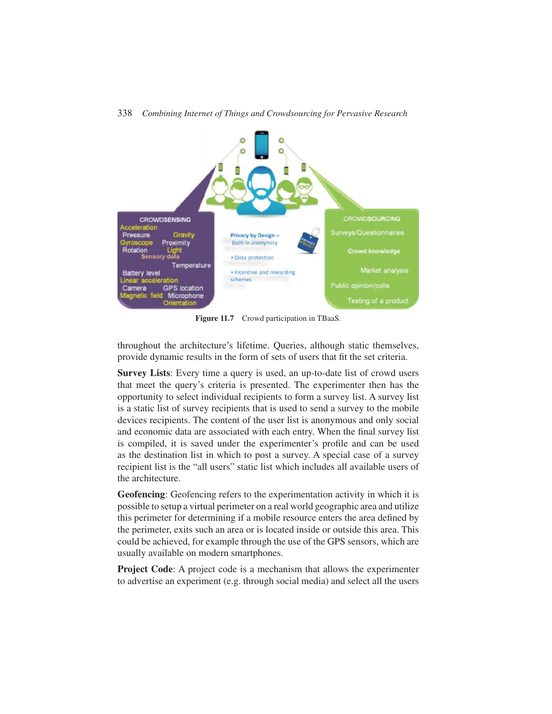

Figure 11.7 Crowd participation in TBaaS.

throughout the architecture's lifetime. Queries, although static themselves, provide dynamic results in the form of sets of users that fit the set criteria.

**Survey Lists**: Every time a query is used, an up-to-date list of crowd users that meet the query's criteria is presented. The experimenter then has the opportunity to select individual recipients to form a survey list. A survey list is a static list of survey recipients that is used to send a survey to the mobile devices recipients. The content of the user list is anonymous and only social and economic data are associated with each entry. When the final survey list is compiled, it is saved under the experimenter's profile and can be used as the destination list in which to post a survey. A special case of a survey recipient list is the "all users" static list which includes all available users of the architecture.

**Geofencing**: Geofencing refers to the experimentation activity in which it is possible to setup a virtual perimeter on a real world geographic area and utilize this perimeter for determining if a mobile resource enters the area defined by the perimeter, exits such an area or is located inside or outside this area. This could be achieved, for example through the use of the GPS sensors, which are usually available on modern smartphones.

**Project Code**: A project code is a mechanism that allows the experimenter to advertise an experiment (e.g. through social media) and select all the users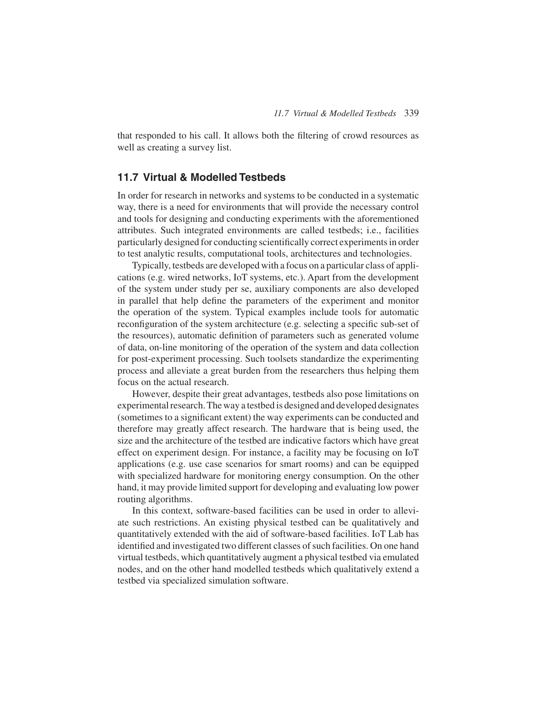that responded to his call. It allows both the filtering of crowd resources as well as creating a survey list.

# **11.7 Virtual & Modelled Testbeds**

In order for research in networks and systems to be conducted in a systematic way, there is a need for environments that will provide the necessary control and tools for designing and conducting experiments with the aforementioned attributes. Such integrated environments are called testbeds; i.e., facilities particularly designed for conducting scientifically correct experiments in order to test analytic results, computational tools, architectures and technologies.

Typically, testbeds are developed with a focus on a particular class of applications (e.g. wired networks, IoT systems, etc.). Apart from the development of the system under study per se, auxiliary components are also developed in parallel that help define the parameters of the experiment and monitor the operation of the system. Typical examples include tools for automatic reconfiguration of the system architecture (e.g. selecting a specific sub-set of the resources), automatic definition of parameters such as generated volume of data, on-line monitoring of the operation of the system and data collection for post-experiment processing. Such toolsets standardize the experimenting process and alleviate a great burden from the researchers thus helping them focus on the actual research.

However, despite their great advantages, testbeds also pose limitations on experimental research. The way a testbed is designed and developed designates (sometimes to a significant extent) the way experiments can be conducted and therefore may greatly affect research. The hardware that is being used, the size and the architecture of the testbed are indicative factors which have great effect on experiment design. For instance, a facility may be focusing on IoT applications (e.g. use case scenarios for smart rooms) and can be equipped with specialized hardware for monitoring energy consumption. On the other hand, it may provide limited support for developing and evaluating low power routing algorithms.

In this context, software-based facilities can be used in order to alleviate such restrictions. An existing physical testbed can be qualitatively and quantitatively extended with the aid of software-based facilities. IoT Lab has identified and investigated two different classes of such facilities. On one hand virtual testbeds, which quantitatively augment a physical testbed via emulated nodes, and on the other hand modelled testbeds which qualitatively extend a testbed via specialized simulation software.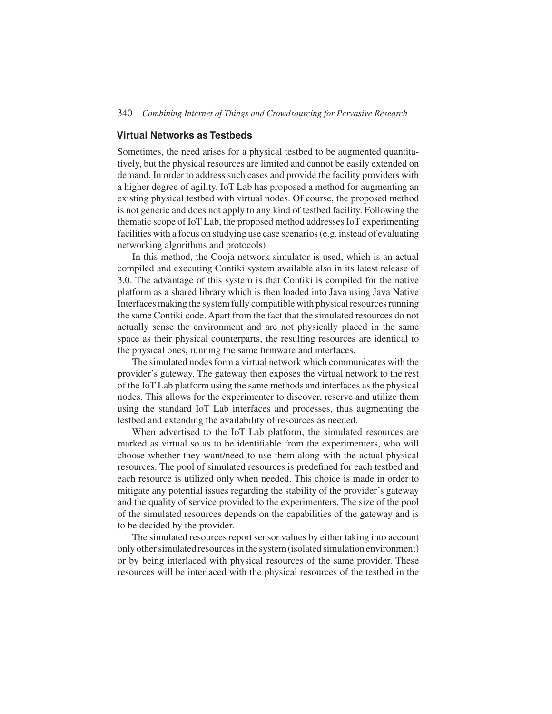#### **Virtual Networks as Testbeds**

Sometimes, the need arises for a physical testbed to be augmented quantitatively, but the physical resources are limited and cannot be easily extended on demand. In order to address such cases and provide the facility providers with a higher degree of agility, IoT Lab has proposed a method for augmenting an existing physical testbed with virtual nodes. Of course, the proposed method is not generic and does not apply to any kind of testbed facility. Following the thematic scope of IoT Lab, the proposed method addresses IoT experimenting facilities with a focus on studying use case scenarios (e.g. instead of evaluating networking algorithms and protocols)

In this method, the Cooja network simulator is used, which is an actual compiled and executing Contiki system available also in its latest release of 3.0. The advantage of this system is that Contiki is compiled for the native platform as a shared library which is then loaded into Java using Java Native Interfaces making the system fully compatible with physical resources running the same Contiki code. Apart from the fact that the simulated resources do not actually sense the environment and are not physically placed in the same space as their physical counterparts, the resulting resources are identical to the physical ones, running the same firmware and interfaces.

The simulated nodes form a virtual network which communicates with the provider's gateway. The gateway then exposes the virtual network to the rest of the IoT Lab platform using the same methods and interfaces as the physical nodes. This allows for the experimenter to discover, reserve and utilize them using the standard IoT Lab interfaces and processes, thus augmenting the testbed and extending the availability of resources as needed.

When advertised to the IoT Lab platform, the simulated resources are marked as virtual so as to be identifiable from the experimenters, who will choose whether they want/need to use them along with the actual physical resources. The pool of simulated resources is predefined for each testbed and each resource is utilized only when needed. This choice is made in order to mitigate any potential issues regarding the stability of the provider's gateway and the quality of service provided to the experimenters. The size of the pool of the simulated resources depends on the capabilities of the gateway and is to be decided by the provider.

The simulated resources report sensor values by either taking into account only other simulated resources in the system (isolated simulation environment) or by being interlaced with physical resources of the same provider. These resources will be interlaced with the physical resources of the testbed in the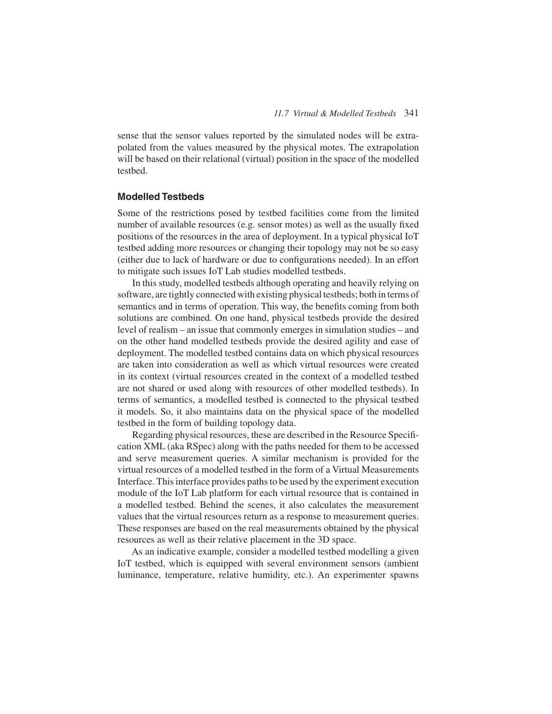sense that the sensor values reported by the simulated nodes will be extrapolated from the values measured by the physical motes. The extrapolation will be based on their relational (virtual) position in the space of the modelled testbed.

#### **Modelled Testbeds**

Some of the restrictions posed by testbed facilities come from the limited number of available resources (e.g. sensor motes) as well as the usually fixed positions of the resources in the area of deployment. In a typical physical IoT testbed adding more resources or changing their topology may not be so easy (either due to lack of hardware or due to configurations needed). In an effort to mitigate such issues IoT Lab studies modelled testbeds.

In this study, modelled testbeds although operating and heavily relying on software, are tightly connected with existing physical testbeds; both in terms of semantics and in terms of operation. This way, the benefits coming from both solutions are combined. On one hand, physical testbeds provide the desired level of realism – an issue that commonly emerges in simulation studies – and on the other hand modelled testbeds provide the desired agility and ease of deployment. The modelled testbed contains data on which physical resources are taken into consideration as well as which virtual resources were created in its context (virtual resources created in the context of a modelled testbed are not shared or used along with resources of other modelled testbeds). In terms of semantics, a modelled testbed is connected to the physical testbed it models. So, it also maintains data on the physical space of the modelled testbed in the form of building topology data.

Regarding physical resources, these are described in the Resource Specification XML (aka RSpec) along with the paths needed for them to be accessed and serve measurement queries. A similar mechanism is provided for the virtual resources of a modelled testbed in the form of a Virtual Measurements Interface. This interface provides paths to be used by the experiment execution module of the IoT Lab platform for each virtual resource that is contained in a modelled testbed. Behind the scenes, it also calculates the measurement values that the virtual resources return as a response to measurement queries. These responses are based on the real measurements obtained by the physical resources as well as their relative placement in the 3D space.

As an indicative example, consider a modelled testbed modelling a given IoT testbed, which is equipped with several environment sensors (ambient luminance, temperature, relative humidity, etc.). An experimenter spawns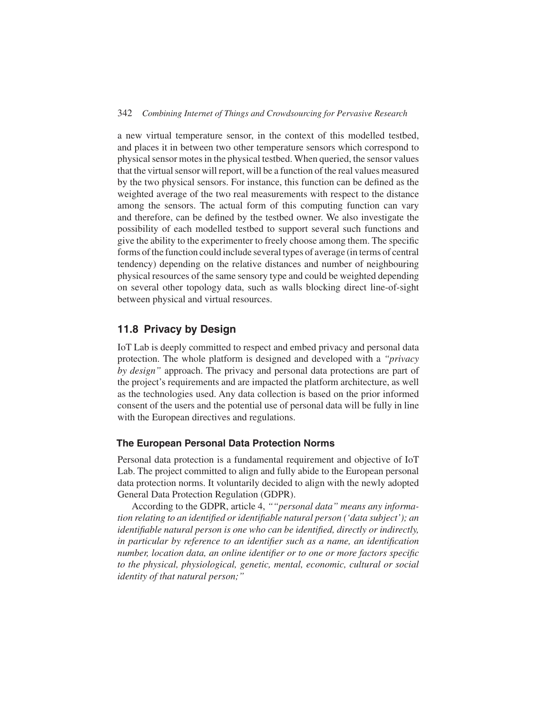a new virtual temperature sensor, in the context of this modelled testbed, and places it in between two other temperature sensors which correspond to physical sensor motes in the physical testbed. When queried, the sensor values that the virtual sensor will report, will be a function of the real values measured by the two physical sensors. For instance, this function can be defined as the weighted average of the two real measurements with respect to the distance among the sensors. The actual form of this computing function can vary and therefore, can be defined by the testbed owner. We also investigate the possibility of each modelled testbed to support several such functions and give the ability to the experimenter to freely choose among them. The specific forms of the function could include several types of average (in terms of central tendency) depending on the relative distances and number of neighbouring physical resources of the same sensory type and could be weighted depending on several other topology data, such as walls blocking direct line-of-sight between physical and virtual resources.

# **11.8 Privacy by Design**

IoT Lab is deeply committed to respect and embed privacy and personal data protection. The whole platform is designed and developed with a *"privacy by design"* approach. The privacy and personal data protections are part of the project's requirements and are impacted the platform architecture, as well as the technologies used. Any data collection is based on the prior informed consent of the users and the potential use of personal data will be fully in line with the European directives and regulations.

#### **The European Personal Data Protection Norms**

Personal data protection is a fundamental requirement and objective of IoT Lab. The project committed to align and fully abide to the European personal data protection norms. It voluntarily decided to align with the newly adopted General Data Protection Regulation (GDPR).

According to the GDPR, article 4, *""personal data" means any information relating to an identified or identifiable natural person ('data subject'); an identifiable natural person is one who can be identified, directly or indirectly, in particular by reference to an identifier such as a name, an identification number, location data, an online identifier or to one or more factors specific to the physical, physiological, genetic, mental, economic, cultural or social identity of that natural person;"*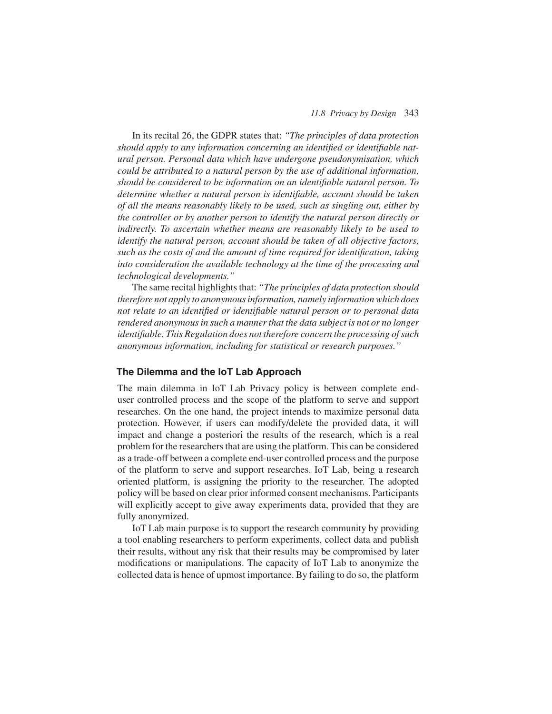In its recital 26, the GDPR states that: *"The principles of data protection should apply to any information concerning an identified or identifiable natural person. Personal data which have undergone pseudonymisation, which could be attributed to a natural person by the use of additional information, should be considered to be information on an identifiable natural person. To determine whether a natural person is identifiable, account should be taken of all the means reasonably likely to be used, such as singling out, either by the controller or by another person to identify the natural person directly or indirectly. To ascertain whether means are reasonably likely to be used to identify the natural person, account should be taken of all objective factors, such as the costs of and the amount of time required for identification, taking into consideration the available technology at the time of the processing and technological developments."*

The same recital highlights that: *"The principles of data protection should therefore not apply to anonymous information, namely information which does not relate to an identified or identifiable natural person or to personal data rendered anonymous in such a manner that the data subject is not or no longer identifiable. This Regulation does not therefore concern the processing of such anonymous information, including for statistical or research purposes."*

#### **The Dilemma and the IoT Lab Approach**

The main dilemma in IoT Lab Privacy policy is between complete enduser controlled process and the scope of the platform to serve and support researches. On the one hand, the project intends to maximize personal data protection. However, if users can modify/delete the provided data, it will impact and change a posteriori the results of the research, which is a real problem for the researchers that are using the platform. This can be considered as a trade-off between a complete end-user controlled process and the purpose of the platform to serve and support researches. IoT Lab, being a research oriented platform, is assigning the priority to the researcher. The adopted policy will be based on clear prior informed consent mechanisms. Participants will explicitly accept to give away experiments data, provided that they are fully anonymized.

IoT Lab main purpose is to support the research community by providing a tool enabling researchers to perform experiments, collect data and publish their results, without any risk that their results may be compromised by later modifications or manipulations. The capacity of IoT Lab to anonymize the collected data is hence of upmost importance. By failing to do so, the platform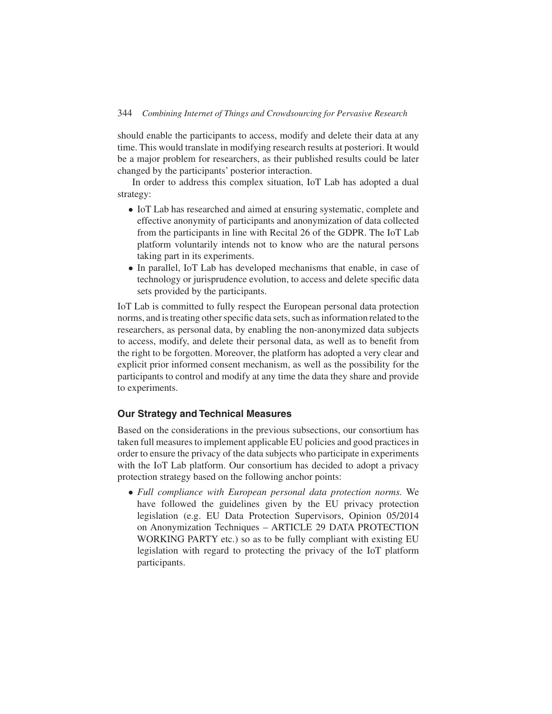should enable the participants to access, modify and delete their data at any time. This would translate in modifying research results at posteriori. It would be a major problem for researchers, as their published results could be later changed by the participants' posterior interaction.

In order to address this complex situation, IoT Lab has adopted a dual strategy:

- IoT Lab has researched and aimed at ensuring systematic, complete and effective anonymity of participants and anonymization of data collected from the participants in line with Recital 26 of the GDPR. The IoT Lab platform voluntarily intends not to know who are the natural persons taking part in its experiments.
- In parallel, IoT Lab has developed mechanisms that enable, in case of technology or jurisprudence evolution, to access and delete specific data sets provided by the participants.

IoT Lab is committed to fully respect the European personal data protection norms, and is treating other specific data sets, such as information related to the researchers, as personal data, by enabling the non-anonymized data subjects to access, modify, and delete their personal data, as well as to benefit from the right to be forgotten. Moreover, the platform has adopted a very clear and explicit prior informed consent mechanism, as well as the possibility for the participants to control and modify at any time the data they share and provide to experiments.

#### **Our Strategy and Technical Measures**

Based on the considerations in the previous subsections, our consortium has taken full measures to implement applicable EU policies and good practices in order to ensure the privacy of the data subjects who participate in experiments with the IoT Lab platform. Our consortium has decided to adopt a privacy protection strategy based on the following anchor points:

• *Full compliance with European personal data protection norms.* We have followed the guidelines given by the EU privacy protection legislation (e.g. EU Data Protection Supervisors, Opinion 05/2014 on Anonymization Techniques – ARTICLE 29 DATA PROTECTION WORKING PARTY etc.) so as to be fully compliant with existing EU legislation with regard to protecting the privacy of the IoT platform participants.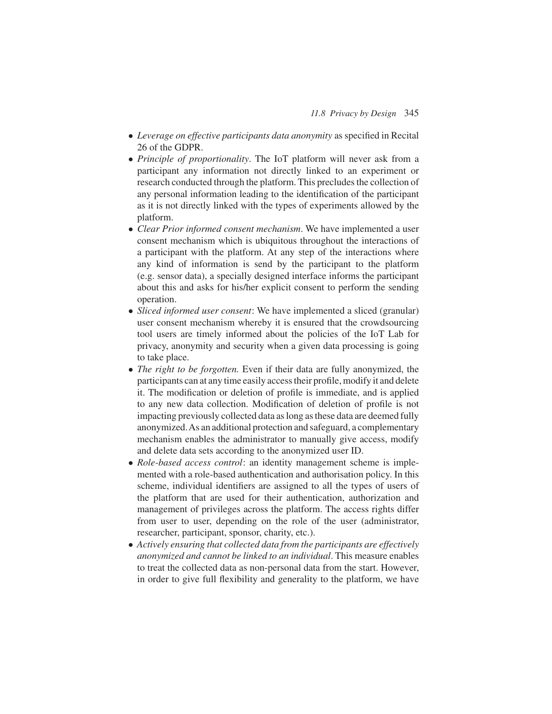- *Leverage on effective participants data anonymity* as specified in Recital 26 of the GDPR.
- *Principle of proportionality*. The IoT platform will never ask from a participant any information not directly linked to an experiment or research conducted through the platform. This precludes the collection of any personal information leading to the identification of the participant as it is not directly linked with the types of experiments allowed by the platform.
- *Clear Prior informed consent mechanism*. We have implemented a user consent mechanism which is ubiquitous throughout the interactions of a participant with the platform. At any step of the interactions where any kind of information is send by the participant to the platform (e.g. sensor data), a specially designed interface informs the participant about this and asks for his/her explicit consent to perform the sending operation.
- *Sliced informed user consent*: We have implemented a sliced (granular) user consent mechanism whereby it is ensured that the crowdsourcing tool users are timely informed about the policies of the IoT Lab for privacy, anonymity and security when a given data processing is going to take place.
- *The right to be forgotten.* Even if their data are fully anonymized, the participants can at any time easily access their profile, modify it and delete it. The modification or deletion of profile is immediate, and is applied to any new data collection. Modification of deletion of profile is not impacting previously collected data as long as these data are deemed fully anonymized.As an additional protection and safeguard, a complementary mechanism enables the administrator to manually give access, modify and delete data sets according to the anonymized user ID.
- *Role-based access control*: an identity management scheme is implemented with a role-based authentication and authorisation policy. In this scheme, individual identifiers are assigned to all the types of users of the platform that are used for their authentication, authorization and management of privileges across the platform. The access rights differ from user to user, depending on the role of the user (administrator, researcher, participant, sponsor, charity, etc.).
- *Actively ensuring that collected data from the participants are effectively anonymized and cannot be linked to an individual*. This measure enables to treat the collected data as non-personal data from the start. However, in order to give full flexibility and generality to the platform, we have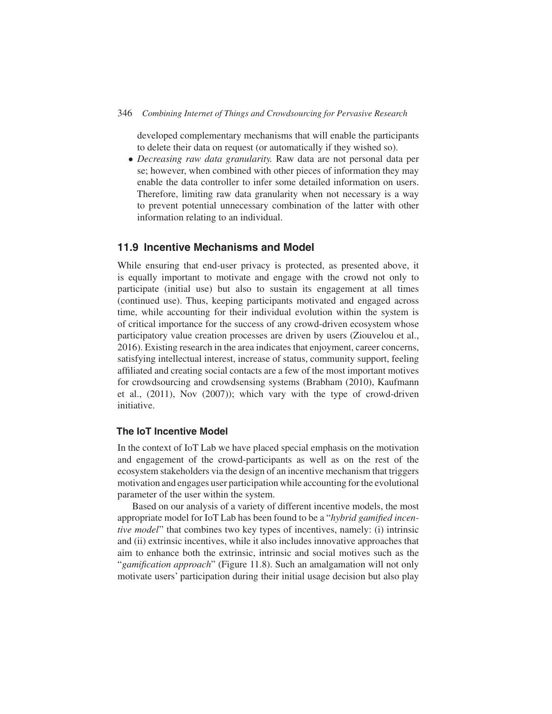developed complementary mechanisms that will enable the participants to delete their data on request (or automatically if they wished so).

• *Decreasing raw data granularity.* Raw data are not personal data per se; however, when combined with other pieces of information they may enable the data controller to infer some detailed information on users. Therefore, limiting raw data granularity when not necessary is a way to prevent potential unnecessary combination of the latter with other information relating to an individual.

# **11.9 Incentive Mechanisms and Model**

While ensuring that end-user privacy is protected, as presented above, it is equally important to motivate and engage with the crowd not only to participate (initial use) but also to sustain its engagement at all times (continued use). Thus, keeping participants motivated and engaged across time, while accounting for their individual evolution within the system is of critical importance for the success of any crowd-driven ecosystem whose participatory value creation processes are driven by users (Ziouvelou et al., 2016). Existing research in the area indicates that enjoyment, career concerns, satisfying intellectual interest, increase of status, community support, feeling affiliated and creating social contacts are a few of the most important motives for crowdsourcing and crowdsensing systems (Brabham (2010), Kaufmann et al., (2011), Nov (2007)); which vary with the type of crowd-driven initiative.

# **The IoT Incentive Model**

In the context of IoT Lab we have placed special emphasis on the motivation and engagement of the crowd-participants as well as on the rest of the ecosystem stakeholders via the design of an incentive mechanism that triggers motivation and engages user participation while accounting for the evolutional parameter of the user within the system.

Based on our analysis of a variety of different incentive models, the most appropriate model for IoT Lab has been found to be a "*hybrid gamified incentive model*" that combines two key types of incentives, namely: (i) intrinsic and (ii) extrinsic incentives, while it also includes innovative approaches that aim to enhance both the extrinsic, intrinsic and social motives such as the "*gamification approach*" (Figure 11.8). Such an amalgamation will not only motivate users' participation during their initial usage decision but also play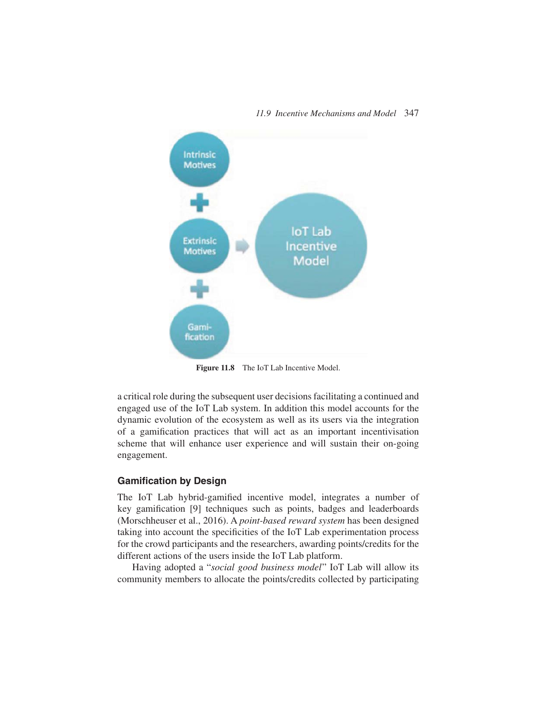

Figure 11.8 The IoT Lab Incentive Model.

a critical role during the subsequent user decisions facilitating a continued and engaged use of the IoT Lab system. In addition this model accounts for the dynamic evolution of the ecosystem as well as its users via the integration of a gamification practices that will act as an important incentivisation scheme that will enhance user experience and will sustain their on-going engagement.

# **Gamification by Design**

The IoT Lab hybrid-gamified incentive model, integrates a number of key gamification [9] techniques such as points, badges and leaderboards (Morschheuser et al., 2016). A *point-based reward system* has been designed taking into account the specificities of the IoT Lab experimentation process for the crowd participants and the researchers, awarding points/credits for the different actions of the users inside the IoT Lab platform.

Having adopted a "*social good business model*" IoT Lab will allow its community members to allocate the points/credits collected by participating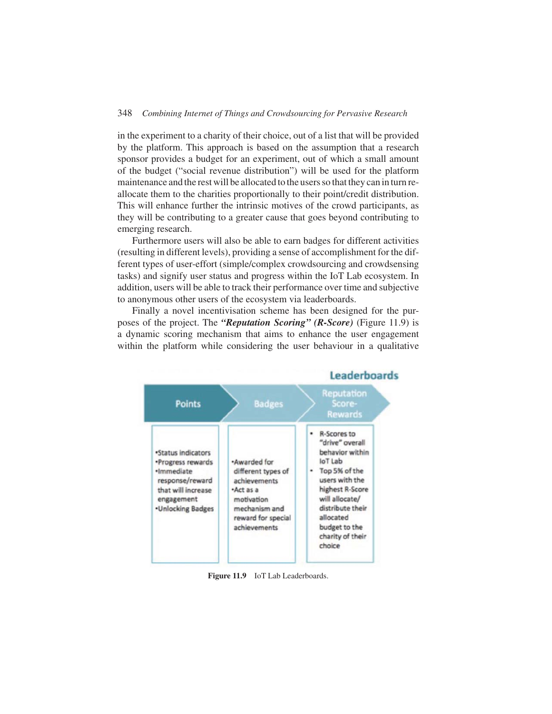in the experiment to a charity of their choice, out of a list that will be provided by the platform. This approach is based on the assumption that a research sponsor provides a budget for an experiment, out of which a small amount of the budget ("social revenue distribution") will be used for the platform maintenance and the rest will be allocated to the users so that they can in turn reallocate them to the charities proportionally to their point/credit distribution. This will enhance further the intrinsic motives of the crowd participants, as they will be contributing to a greater cause that goes beyond contributing to emerging research.

Furthermore users will also be able to earn badges for different activities (resulting in different levels), providing a sense of accomplishment for the different types of user-effort (simple/complex crowdsourcing and crowdsensing tasks) and signify user status and progress within the IoT Lab ecosystem. In addition, users will be able to track their performance over time and subjective to anonymous other users of the ecosystem via leaderboards.

Finally a novel incentivisation scheme has been designed for the purposes of the project. The *"Reputation Scoring" (R-Score)* (Figure 11.9) is a dynamic scoring mechanism that aims to enhance the user engagement within the platform while considering the user behaviour in a qualitative



**Figure 11.9** IoT Lab Leaderboards.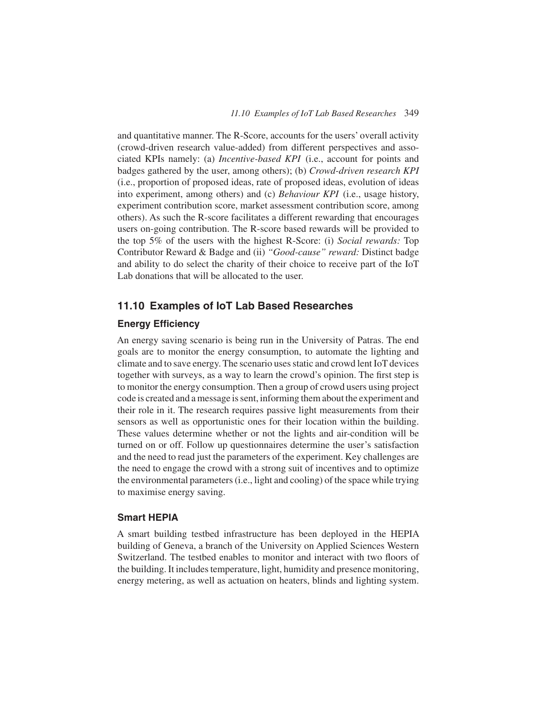and quantitative manner. The R-Score, accounts for the users' overall activity (crowd-driven research value-added) from different perspectives and associated KPIs namely: (a) *Incentive-based KPI* (i.e., account for points and badges gathered by the user, among others); (b) *Crowd-driven research KPI* (i.e., proportion of proposed ideas, rate of proposed ideas, evolution of ideas into experiment, among others) and (c) *Behaviour KPI* (i.e., usage history, experiment contribution score, market assessment contribution score, among others). As such the R-score facilitates a different rewarding that encourages users on-going contribution. The R-score based rewards will be provided to the top 5% of the users with the highest R-Score: (i) *Social rewards:* Top Contributor Reward & Badge and (ii) *"Good-cause" reward:* Distinct badge and ability to do select the charity of their choice to receive part of the IoT Lab donations that will be allocated to the user.

# **11.10 Examples of IoT Lab Based Researches**

#### **Energy Efficiency**

An energy saving scenario is being run in the University of Patras. The end goals are to monitor the energy consumption, to automate the lighting and climate and to save energy. The scenario uses static and crowd lent IoT devices together with surveys, as a way to learn the crowd's opinion. The first step is to monitor the energy consumption. Then a group of crowd users using project code is created and a message is sent, informing them about the experiment and their role in it. The research requires passive light measurements from their sensors as well as opportunistic ones for their location within the building. These values determine whether or not the lights and air-condition will be turned on or off. Follow up questionnaires determine the user's satisfaction and the need to read just the parameters of the experiment. Key challenges are the need to engage the crowd with a strong suit of incentives and to optimize the environmental parameters (i.e., light and cooling) of the space while trying to maximise energy saving.

# **Smart HEPIA**

A smart building testbed infrastructure has been deployed in the HEPIA building of Geneva, a branch of the University on Applied Sciences Western Switzerland. The testbed enables to monitor and interact with two floors of the building. It includes temperature, light, humidity and presence monitoring, energy metering, as well as actuation on heaters, blinds and lighting system.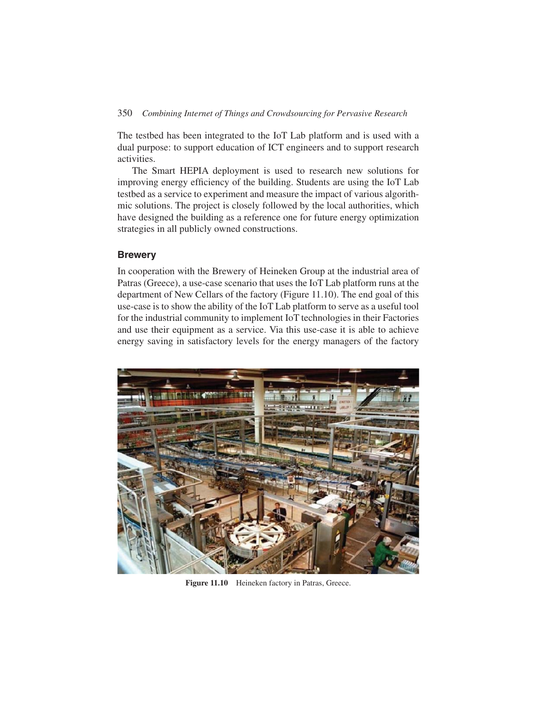The testbed has been integrated to the IoT Lab platform and is used with a dual purpose: to support education of ICT engineers and to support research activities.

The Smart HEPIA deployment is used to research new solutions for improving energy efficiency of the building. Students are using the IoT Lab testbed as a service to experiment and measure the impact of various algorithmic solutions. The project is closely followed by the local authorities, which have designed the building as a reference one for future energy optimization strategies in all publicly owned constructions.

#### **Brewery**

In cooperation with the Brewery of Heineken Group at the industrial area of Patras (Greece), a use-case scenario that uses the IoT Lab platform runs at the department of New Cellars of the factory (Figure 11.10). The end goal of this use-case is to show the ability of the IoT Lab platform to serve as a useful tool for the industrial community to implement IoT technologies in their Factories and use their equipment as a service. Via this use-case it is able to achieve energy saving in satisfactory levels for the energy managers of the factory



Figure 11.10 Heineken factory in Patras, Greece.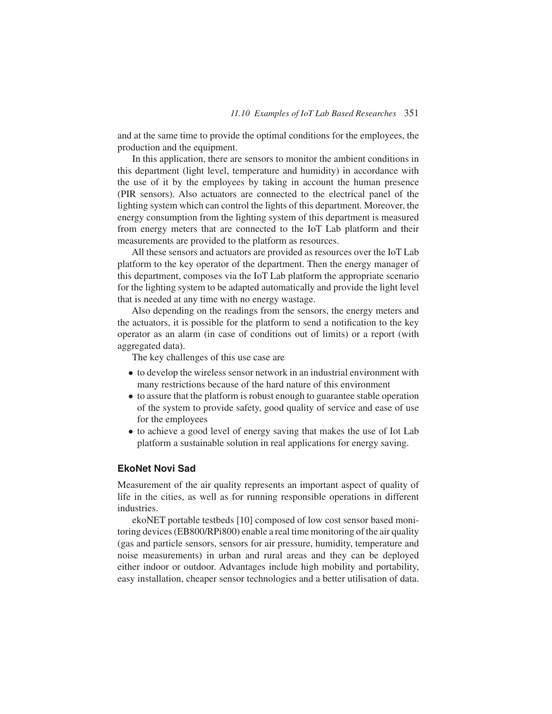and at the same time to provide the optimal conditions for the employees, the production and the equipment.

In this application, there are sensors to monitor the ambient conditions in this department (light level, temperature and humidity) in accordance with the use of it by the employees by taking in account the human presence (PIR sensors). Also actuators are connected to the electrical panel of the lighting system which can control the lights of this department. Moreover, the energy consumption from the lighting system of this department is measured from energy meters that are connected to the IoT Lab platform and their measurements are provided to the platform as resources.

All these sensors and actuators are provided as resources over the IoT Lab platform to the key operator of the department. Then the energy manager of this department, composes via the IoT Lab platform the appropriate scenario for the lighting system to be adapted automatically and provide the light level that is needed at any time with no energy wastage.

Also depending on the readings from the sensors, the energy meters and the actuators, it is possible for the platform to send a notification to the key operator as an alarm (in case of conditions out of limits) or a report (with aggregated data).

The key challenges of this use case are

- to develop the wireless sensor network in an industrial environment with many restrictions because of the hard nature of this environment
- to assure that the platform is robust enough to guarantee stable operation of the system to provide safety, good quality of service and ease of use for the employees
- to achieve a good level of energy saving that makes the use of Iot Lab platform a sustainable solution in real applications for energy saving.

#### **EkoNet Novi Sad**

Measurement of the air quality represents an important aspect of quality of life in the cities, as well as for running responsible operations in different industries.

ekoNET portable testbeds [10] composed of low cost sensor based monitoring devices (EB800/RPi800) enable a real time monitoring of the air quality (gas and particle sensors, sensors for air pressure, humidity, temperature and noise measurements) in urban and rural areas and they can be deployed either indoor or outdoor. Advantages include high mobility and portability, easy installation, cheaper sensor technologies and a better utilisation of data.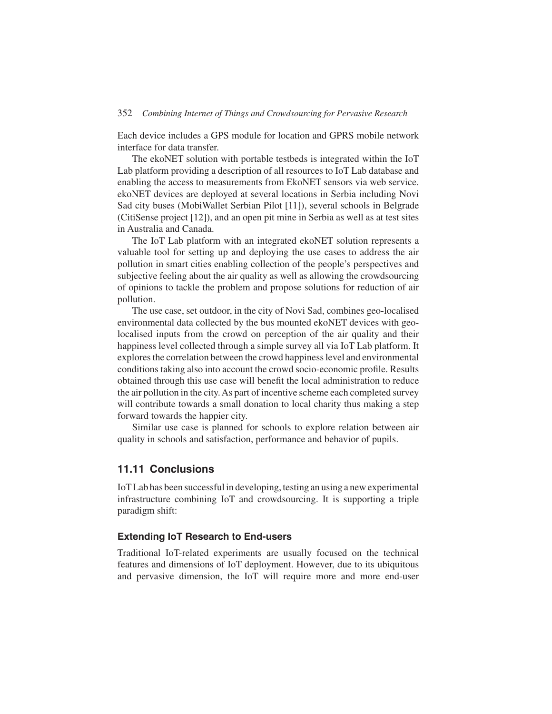Each device includes a GPS module for location and GPRS mobile network interface for data transfer.

The ekoNET solution with portable testbeds is integrated within the IoT Lab platform providing a description of all resources to IoT Lab database and enabling the access to measurements from EkoNET sensors via web service. ekoNET devices are deployed at several locations in Serbia including Novi Sad city buses (MobiWallet Serbian Pilot [11]), several schools in Belgrade (CitiSense project [12]), and an open pit mine in Serbia as well as at test sites in Australia and Canada.

The IoT Lab platform with an integrated ekoNET solution represents a valuable tool for setting up and deploying the use cases to address the air pollution in smart cities enabling collection of the people's perspectives and subjective feeling about the air quality as well as allowing the crowdsourcing of opinions to tackle the problem and propose solutions for reduction of air pollution.

The use case, set outdoor, in the city of Novi Sad, combines geo-localised environmental data collected by the bus mounted ekoNET devices with geolocalised inputs from the crowd on perception of the air quality and their happiness level collected through a simple survey all via IoT Lab platform. It explores the correlation between the crowd happiness level and environmental conditions taking also into account the crowd socio-economic profile. Results obtained through this use case will benefit the local administration to reduce the air pollution in the city. As part of incentive scheme each completed survey will contribute towards a small donation to local charity thus making a step forward towards the happier city.

Similar use case is planned for schools to explore relation between air quality in schools and satisfaction, performance and behavior of pupils.

# **11.11 Conclusions**

IoT Lab has been successful in developing, testing an using a new experimental infrastructure combining IoT and crowdsourcing. It is supporting a triple paradigm shift:

#### **Extending IoT Research to End-users**

Traditional IoT-related experiments are usually focused on the technical features and dimensions of IoT deployment. However, due to its ubiquitous and pervasive dimension, the IoT will require more and more end-user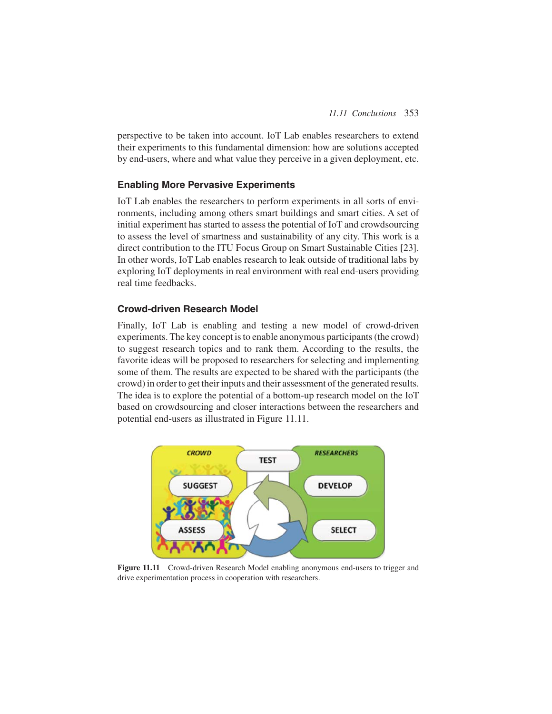perspective to be taken into account. IoT Lab enables researchers to extend their experiments to this fundamental dimension: how are solutions accepted by end-users, where and what value they perceive in a given deployment, etc.

# **Enabling More Pervasive Experiments**

IoT Lab enables the researchers to perform experiments in all sorts of environments, including among others smart buildings and smart cities. A set of initial experiment has started to assess the potential of IoT and crowdsourcing to assess the level of smartness and sustainability of any city. This work is a direct contribution to the ITU Focus Group on Smart Sustainable Cities [23]. In other words, IoT Lab enables research to leak outside of traditional labs by exploring IoT deployments in real environment with real end-users providing real time feedbacks.

# **Crowd-driven Research Model**

Finally, IoT Lab is enabling and testing a new model of crowd-driven experiments. The key concept is to enable anonymous participants (the crowd) to suggest research topics and to rank them. According to the results, the favorite ideas will be proposed to researchers for selecting and implementing some of them. The results are expected to be shared with the participants (the crowd) in order to get their inputs and their assessment of the generated results. The idea is to explore the potential of a bottom-up research model on the IoT based on crowdsourcing and closer interactions between the researchers and potential end-users as illustrated in Figure 11.11.



**Figure 11.11** Crowd-driven Research Model enabling anonymous end-users to trigger and drive experimentation process in cooperation with researchers.